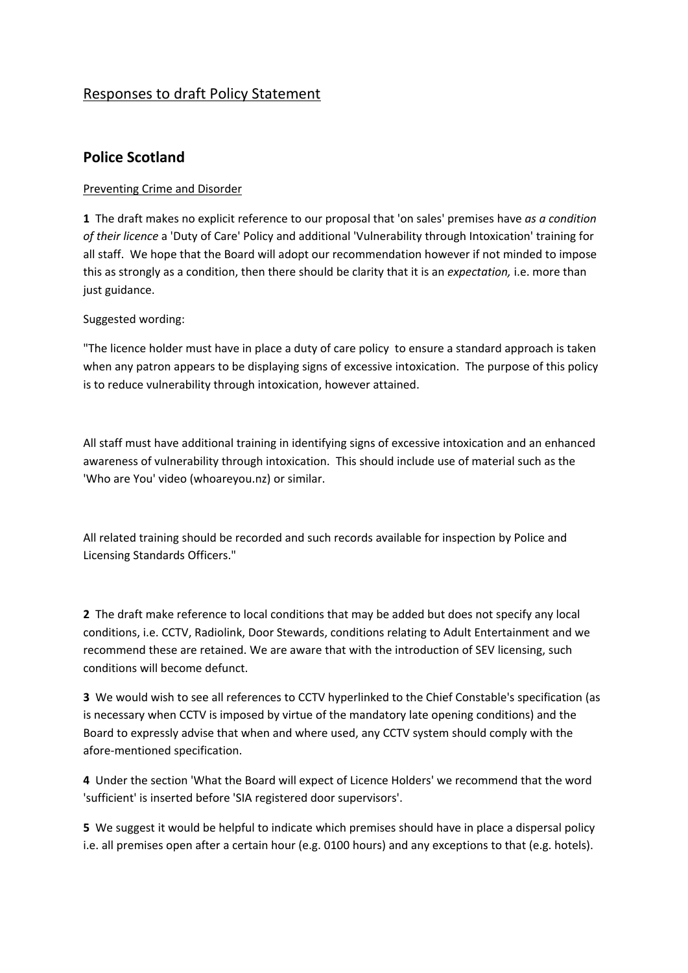# Responses to draft Policy Statement

# **Police Scotland**

## Preventing Crime and Disorder

**1** The draft makes no explicit reference to our proposal that 'on sales' premises have *as a condition of their licence* a 'Duty of Care' Policy and additional 'Vulnerability through Intoxication' training for all staff. We hope that the Board will adopt our recommendation however if not minded to impose this as strongly as a condition, then there should be clarity that it is an *expectation,* i.e. more than just guidance.

Suggested wording:

"The licence holder must have in place a duty of care policy to ensure a standard approach is taken when any patron appears to be displaying signs of excessive intoxication. The purpose of this policy is to reduce vulnerability through intoxication, however attained.

All staff must have additional training in identifying signs of excessive intoxication and an enhanced awareness of vulnerability through intoxication. This should include use of material such as the 'Who are You' video (whoareyou.nz) or similar.

All related training should be recorded and such records available for inspection by Police and Licensing Standards Officers."

**2** The draft make reference to local conditions that may be added but does not specify any local conditions, i.e. CCTV, Radiolink, Door Stewards, conditions relating to Adult Entertainment and we recommend these are retained. We are aware that with the introduction of SEV licensing, such conditions will become defunct.

**3** We would wish to see all references to CCTV hyperlinked to the Chief Constable's specification (as is necessary when CCTV is imposed by virtue of the mandatory late opening conditions) and the Board to expressly advise that when and where used, any CCTV system should comply with the afore-mentioned specification.

**4** Under the section 'What the Board will expect of Licence Holders' we recommend that the word 'sufficient' is inserted before 'SIA registered door supervisors'.

**5** We suggest it would be helpful to indicate which premises should have in place a dispersal policy i.e. all premises open after a certain hour (e.g. 0100 hours) and any exceptions to that (e.g. hotels).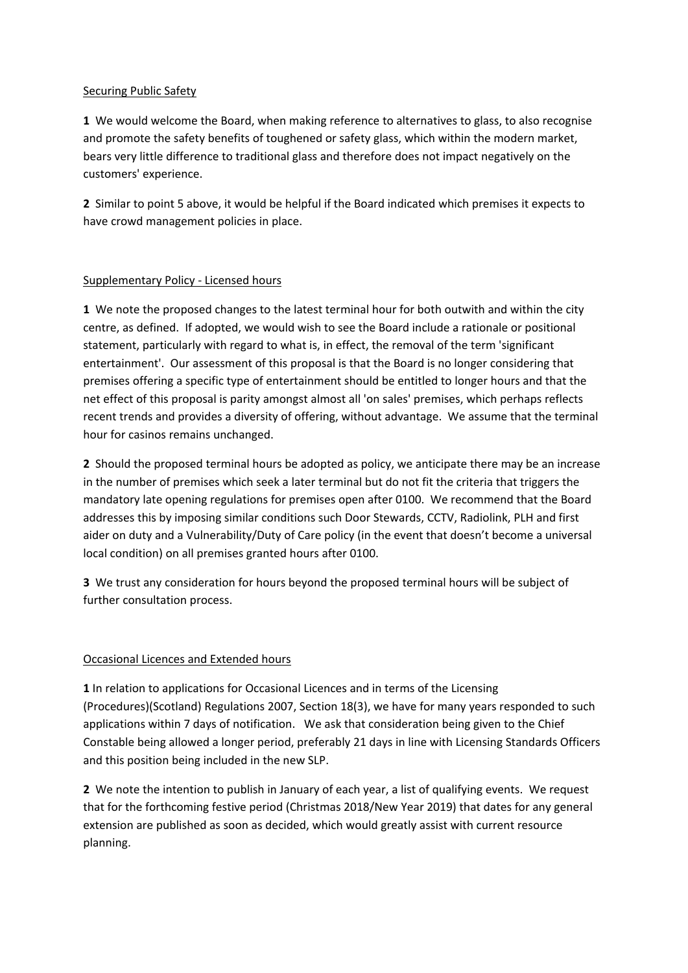### Securing Public Safety

**1** We would welcome the Board, when making reference to alternatives to glass, to also recognise and promote the safety benefits of toughened or safety glass, which within the modern market, bears very little difference to traditional glass and therefore does not impact negatively on the customers' experience.

**2** Similar to point 5 above, it would be helpful if the Board indicated which premises it expects to have crowd management policies in place.

## Supplementary Policy - Licensed hours

**1** We note the proposed changes to the latest terminal hour for both outwith and within the city centre, as defined. If adopted, we would wish to see the Board include a rationale or positional statement, particularly with regard to what is, in effect, the removal of the term 'significant entertainment'. Our assessment of this proposal is that the Board is no longer considering that premises offering a specific type of entertainment should be entitled to longer hours and that the net effect of this proposal is parity amongst almost all 'on sales' premises, which perhaps reflects recent trends and provides a diversity of offering, without advantage. We assume that the terminal hour for casinos remains unchanged.

**2** Should the proposed terminal hours be adopted as policy, we anticipate there may be an increase in the number of premises which seek a later terminal but do not fit the criteria that triggers the mandatory late opening regulations for premises open after 0100. We recommend that the Board addresses this by imposing similar conditions such Door Stewards, CCTV, Radiolink, PLH and first aider on duty and a Vulnerability/Duty of Care policy (in the event that doesn't become a universal local condition) on all premises granted hours after 0100.

**3** We trust any consideration for hours beyond the proposed terminal hours will be subject of further consultation process.

## Occasional Licences and Extended hours

**1** In relation to applications for Occasional Licences and in terms of the Licensing (Procedures)(Scotland) Regulations 2007, Section 18(3), we have for many years responded to such applications within 7 days of notification. We ask that consideration being given to the Chief Constable being allowed a longer period, preferably 21 days in line with Licensing Standards Officers and this position being included in the new SLP.

**2** We note the intention to publish in January of each year, a list of qualifying events. We request that for the forthcoming festive period (Christmas 2018/New Year 2019) that dates for any general extension are published as soon as decided, which would greatly assist with current resource planning.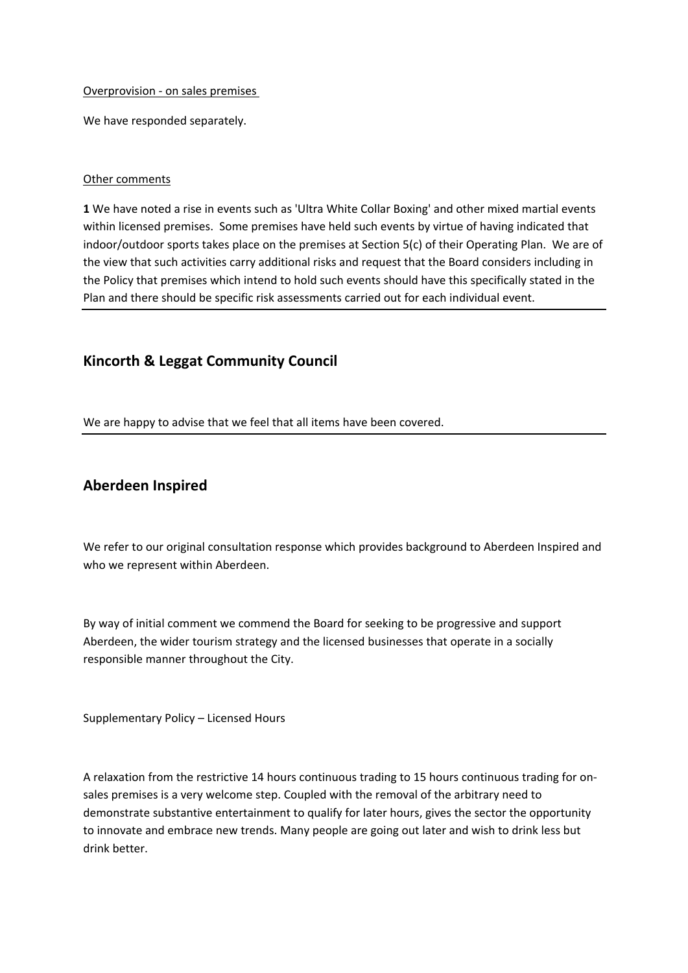### Overprovision - on sales premises

We have responded separately.

### Other comments

**1** We have noted a rise in events such as 'Ultra White Collar Boxing' and other mixed martial events within licensed premises. Some premises have held such events by virtue of having indicated that indoor/outdoor sports takes place on the premises at Section 5(c) of their Operating Plan. We are of the view that such activities carry additional risks and request that the Board considers including in the Policy that premises which intend to hold such events should have this specifically stated in the Plan and there should be specific risk assessments carried out for each individual event.

## **Kincorth & Leggat Community Council**

We are happy to advise that we feel that all items have been covered.

## **Aberdeen Inspired**

We refer to our original consultation response which provides background to Aberdeen Inspired and who we represent within Aberdeen.

By way of initial comment we commend the Board for seeking to be progressive and support Aberdeen, the wider tourism strategy and the licensed businesses that operate in a socially responsible manner throughout the City.

Supplementary Policy – Licensed Hours

A relaxation from the restrictive 14 hours continuous trading to 15 hours continuous trading for onsales premises is a very welcome step. Coupled with the removal of the arbitrary need to demonstrate substantive entertainment to qualify for later hours, gives the sector the opportunity to innovate and embrace new trends. Many people are going out later and wish to drink less but drink better.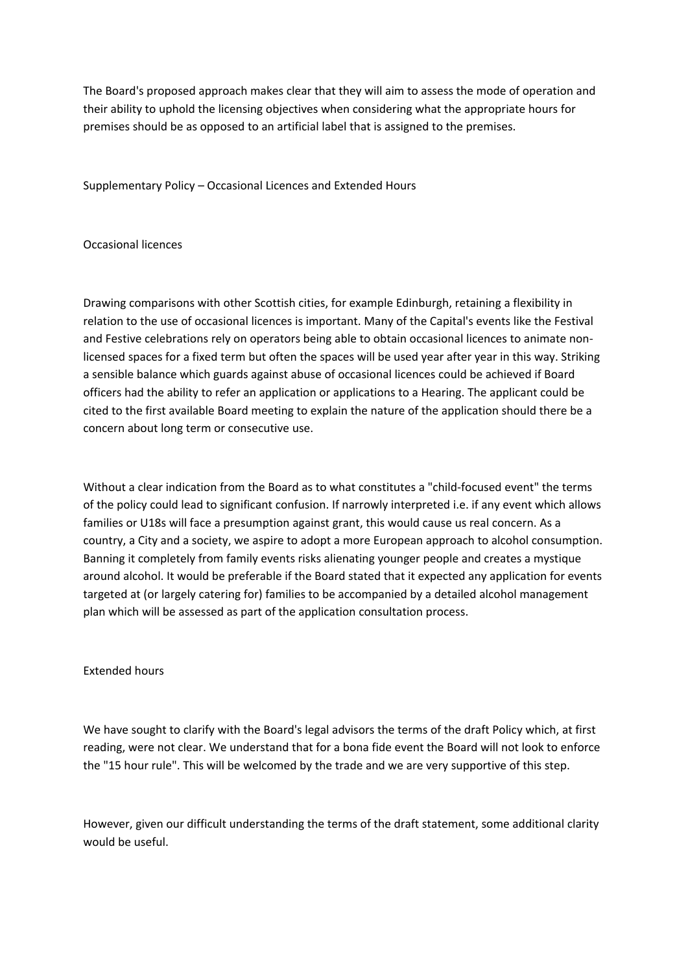The Board's proposed approach makes clear that they will aim to assess the mode of operation and their ability to uphold the licensing objectives when considering what the appropriate hours for premises should be as opposed to an artificial label that is assigned to the premises.

Supplementary Policy – Occasional Licences and Extended Hours

### Occasional licences

Drawing comparisons with other Scottish cities, for example Edinburgh, retaining a flexibility in relation to the use of occasional licences is important. Many of the Capital's events like the Festival and Festive celebrations rely on operators being able to obtain occasional licences to animate nonlicensed spaces for a fixed term but often the spaces will be used year after year in this way. Striking a sensible balance which guards against abuse of occasional licences could be achieved if Board officers had the ability to refer an application or applications to a Hearing. The applicant could be cited to the first available Board meeting to explain the nature of the application should there be a concern about long term or consecutive use.

Without a clear indication from the Board as to what constitutes a "child-focused event" the terms of the policy could lead to significant confusion. If narrowly interpreted i.e. if any event which allows families or U18s will face a presumption against grant, this would cause us real concern. As a country, a City and a society, we aspire to adopt a more European approach to alcohol consumption. Banning it completely from family events risks alienating younger people and creates a mystique around alcohol. It would be preferable if the Board stated that it expected any application for events targeted at (or largely catering for) families to be accompanied by a detailed alcohol management plan which will be assessed as part of the application consultation process.

#### Extended hours

We have sought to clarify with the Board's legal advisors the terms of the draft Policy which, at first reading, were not clear. We understand that for a bona fide event the Board will not look to enforce the "15 hour rule". This will be welcomed by the trade and we are very supportive of this step.

However, given our difficult understanding the terms of the draft statement, some additional clarity would be useful.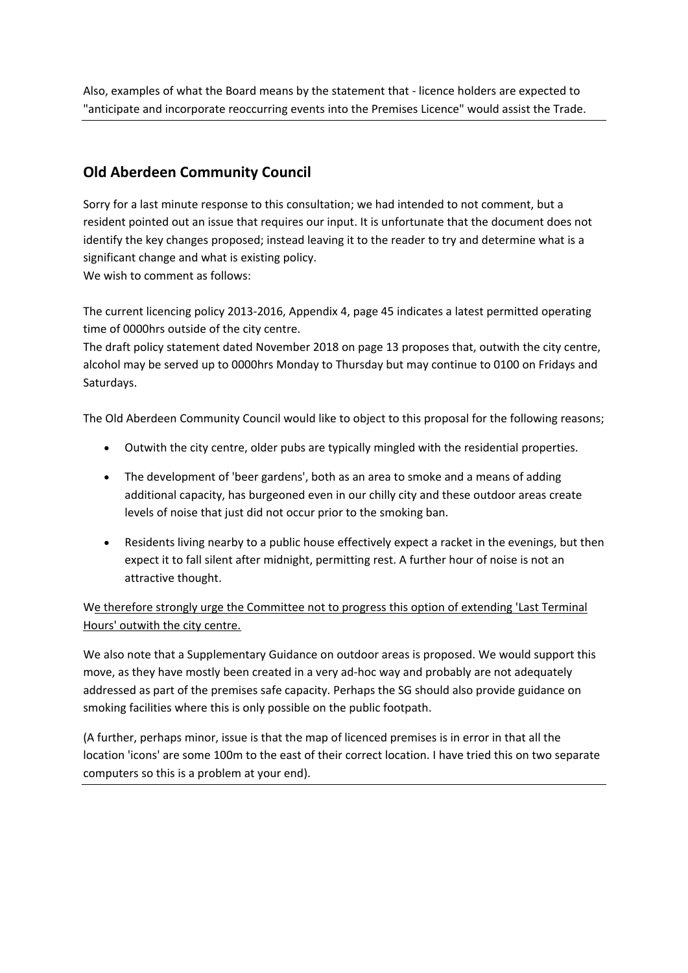Also, examples of what the Board means by the statement that - licence holders are expected to "anticipate and incorporate reoccurring events into the Premises Licence" would assist the Trade.

# **Old Aberdeen Community Council**

Sorry for a last minute response to this consultation; we had intended to not comment, but a resident pointed out an issue that requires our input. It is unfortunate that the document does not identify the key changes proposed; instead leaving it to the reader to try and determine what is a significant change and what is existing policy. We wish to comment as follows:

The current licencing policy 2013-2016, Appendix 4, page 45 indicates a latest permitted operating time of 0000hrs outside of the city centre.

The draft policy statement dated November 2018 on page 13 proposes that, outwith the city centre, alcohol may be served up to 0000hrs Monday to Thursday but may continue to 0100 on Fridays and Saturdays.

The Old Aberdeen Community Council would like to object to this proposal for the following reasons;

- Outwith the city centre, older pubs are typically mingled with the residential properties.
- The development of 'beer gardens', both as an area to smoke and a means of adding additional capacity, has burgeoned even in our chilly city and these outdoor areas create levels of noise that just did not occur prior to the smoking ban.
- Residents living nearby to a public house effectively expect a racket in the evenings, but then expect it to fall silent after midnight, permitting rest. A further hour of noise is not an attractive thought.

We therefore strongly urge the Committee not to progress this option of extending 'Last Terminal Hours' outwith the city centre.

We also note that a Supplementary Guidance on outdoor areas is proposed. We would support this move, as they have mostly been created in a very ad-hoc way and probably are not adequately addressed as part of the premises safe capacity. Perhaps the SG should also provide guidance on smoking facilities where this is only possible on the public footpath.

(A further, perhaps minor, issue is that the map of licenced premises is in error in that all the location 'icons' are some 100m to the east of their correct location. I have tried this on two separate computers so this is a problem at your end).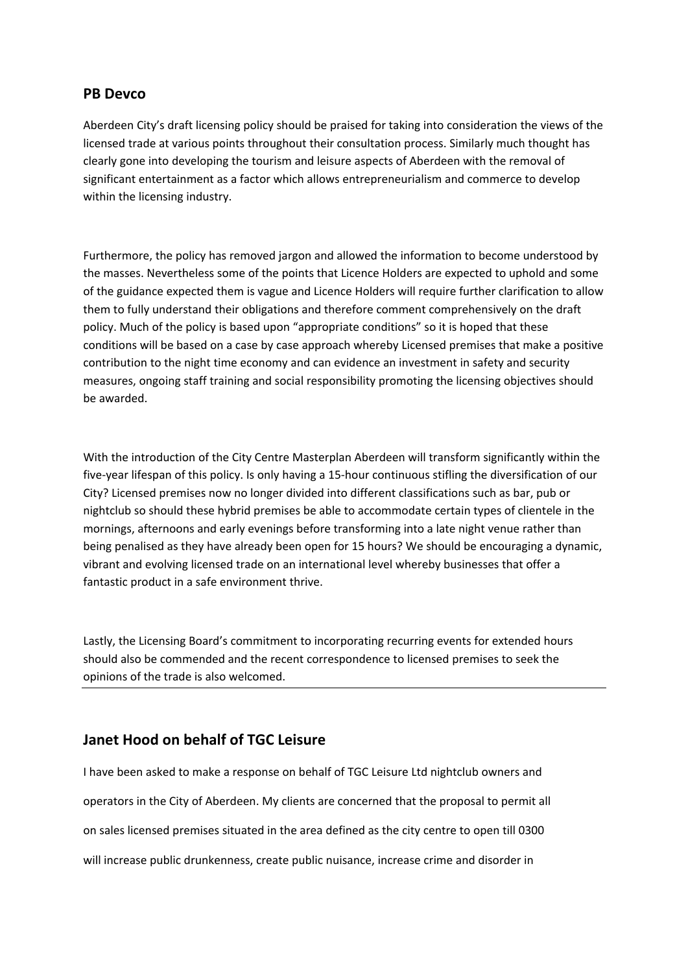## **PB Devco**

Aberdeen City's draft licensing policy should be praised for taking into consideration the views of the licensed trade at various points throughout their consultation process. Similarly much thought has clearly gone into developing the tourism and leisure aspects of Aberdeen with the removal of significant entertainment as a factor which allows entrepreneurialism and commerce to develop within the licensing industry.

Furthermore, the policy has removed jargon and allowed the information to become understood by the masses. Nevertheless some of the points that Licence Holders are expected to uphold and some of the guidance expected them is vague and Licence Holders will require further clarification to allow them to fully understand their obligations and therefore comment comprehensively on the draft policy. Much of the policy is based upon "appropriate conditions" so it is hoped that these conditions will be based on a case by case approach whereby Licensed premises that make a positive contribution to the night time economy and can evidence an investment in safety and security measures, ongoing staff training and social responsibility promoting the licensing objectives should be awarded.

With the introduction of the City Centre Masterplan Aberdeen will transform significantly within the five-year lifespan of this policy. Is only having a 15-hour continuous stifling the diversification of our City? Licensed premises now no longer divided into different classifications such as bar, pub or nightclub so should these hybrid premises be able to accommodate certain types of clientele in the mornings, afternoons and early evenings before transforming into a late night venue rather than being penalised as they have already been open for 15 hours? We should be encouraging a dynamic, vibrant and evolving licensed trade on an international level whereby businesses that offer a fantastic product in a safe environment thrive.

Lastly, the Licensing Board's commitment to incorporating recurring events for extended hours should also be commended and the recent correspondence to licensed premises to seek the opinions of the trade is also welcomed.

## **Janet Hood on behalf of TGC Leisure**

I have been asked to make a response on behalf of TGC Leisure Ltd nightclub owners and operators in the City of Aberdeen. My clients are concerned that the proposal to permit all on sales licensed premises situated in the area defined as the city centre to open till 0300 will increase public drunkenness, create public nuisance, increase crime and disorder in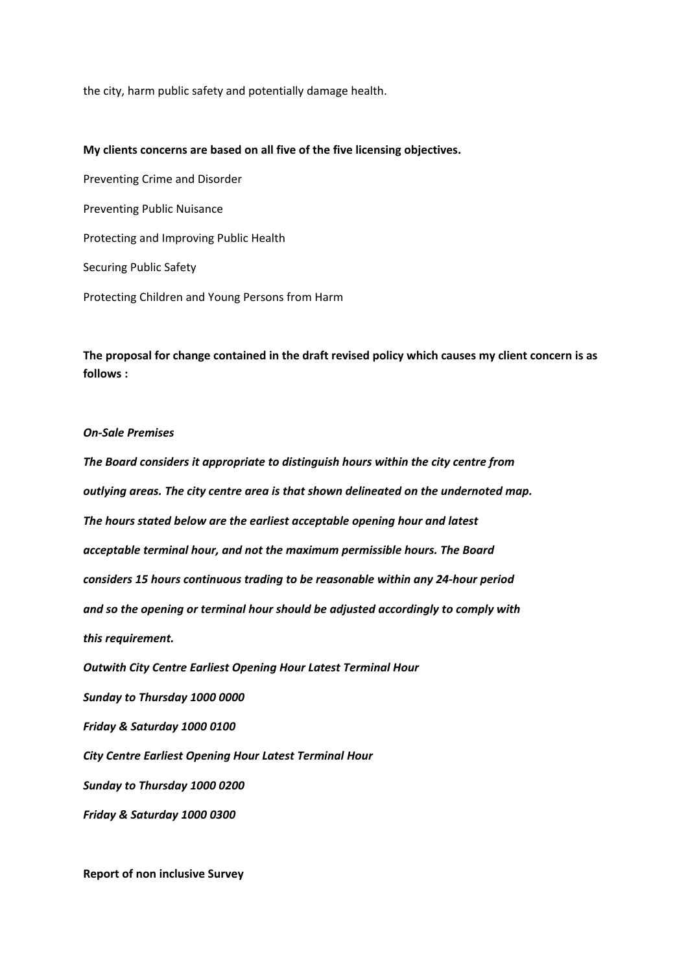the city, harm public safety and potentially damage health.

#### **My clients concerns are based on all five of the five licensing objectives.**

Preventing Crime and Disorder Preventing Public Nuisance Protecting and Improving Public Health Securing Public Safety Protecting Children and Young Persons from Harm

**The proposal for change contained in the draft revised policy which causes my client concern is as follows :**

#### *On-Sale Premises*

*The Board considers it appropriate to distinguish hours within the city centre from outlying areas. The city centre area is that shown delineated on the undernoted map. The hours stated below are the earliest acceptable opening hour and latest acceptable terminal hour, and not the maximum permissible hours. The Board considers 15 hours continuous trading to be reasonable within any 24-hour period and so the opening or terminal hour should be adjusted accordingly to comply with this requirement. Outwith City Centre Earliest Opening Hour Latest Terminal Hour Sunday to Thursday 1000 0000 Friday & Saturday 1000 0100 City Centre Earliest Opening Hour Latest Terminal Hour Sunday to Thursday 1000 0200 Friday & Saturday 1000 0300*

**Report of non inclusive Survey**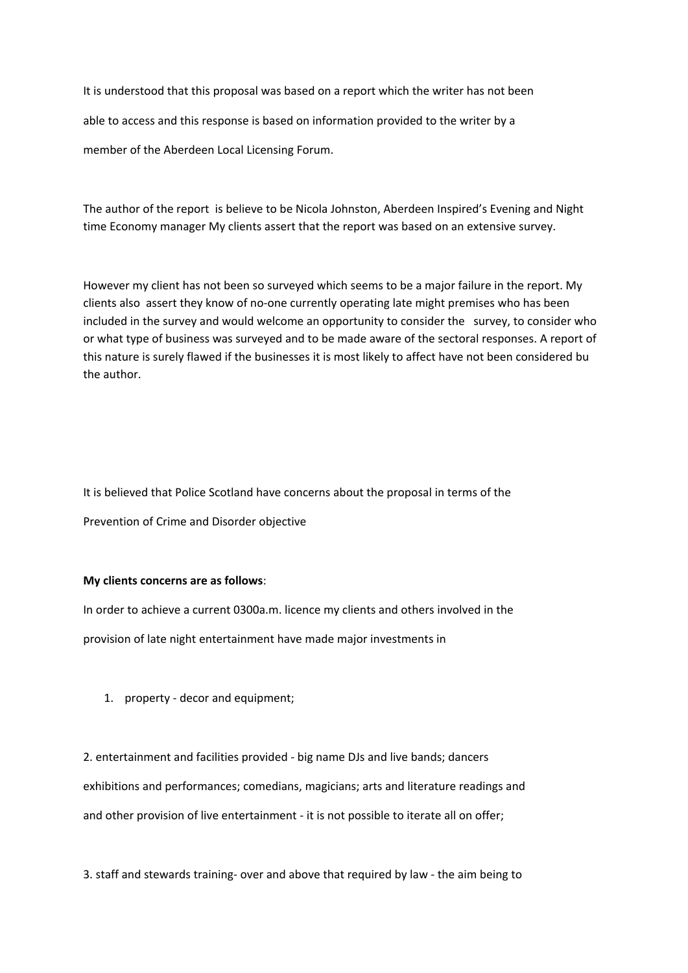It is understood that this proposal was based on a report which the writer has not been able to access and this response is based on information provided to the writer by a member of the Aberdeen Local Licensing Forum.

The author of the report is believe to be Nicola Johnston, Aberdeen Inspired's Evening and Night time Economy manager My clients assert that the report was based on an extensive survey.

However my client has not been so surveyed which seems to be a major failure in the report. My clients also assert they know of no-one currently operating late might premises who has been included in the survey and would welcome an opportunity to consider the survey, to consider who or what type of business was surveyed and to be made aware of the sectoral responses. A report of this nature is surely flawed if the businesses it is most likely to affect have not been considered bu the author.

It is believed that Police Scotland have concerns about the proposal in terms of the Prevention of Crime and Disorder objective

#### **My clients concerns are as follows**:

In order to achieve a current 0300a.m. licence my clients and others involved in the provision of late night entertainment have made major investments in

1. property - decor and equipment;

2. entertainment and facilities provided - big name DJs and live bands; dancers exhibitions and performances; comedians, magicians; arts and literature readings and and other provision of live entertainment - it is not possible to iterate all on offer;

3. staff and stewards training- over and above that required by law - the aim being to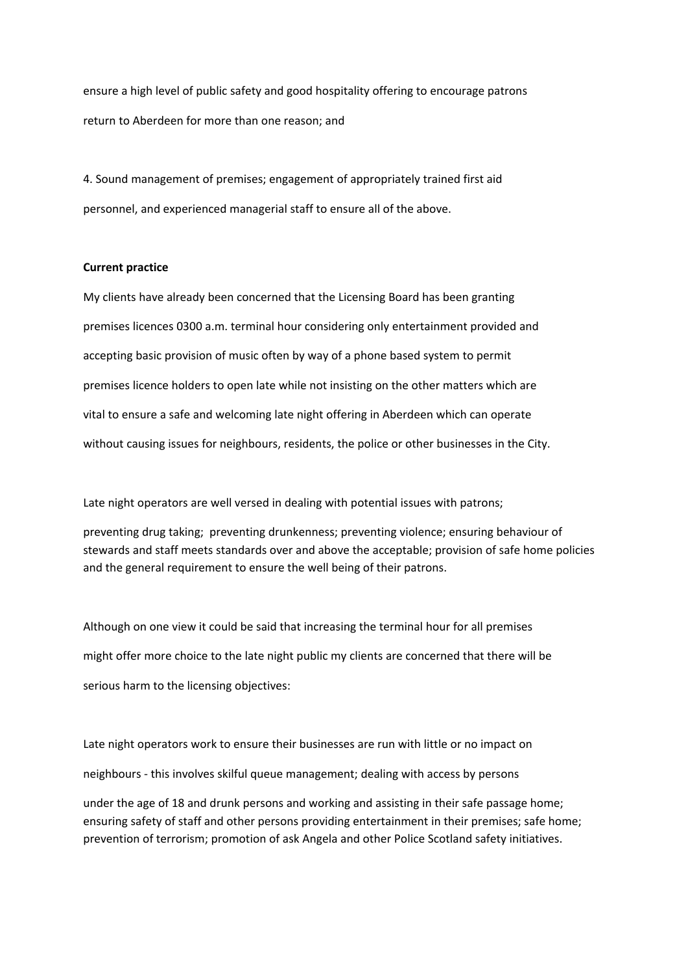ensure a high level of public safety and good hospitality offering to encourage patrons return to Aberdeen for more than one reason; and

4. Sound management of premises; engagement of appropriately trained first aid personnel, and experienced managerial staff to ensure all of the above.

#### **Current practice**

My clients have already been concerned that the Licensing Board has been granting premises licences 0300 a.m. terminal hour considering only entertainment provided and accepting basic provision of music often by way of a phone based system to permit premises licence holders to open late while not insisting on the other matters which are vital to ensure a safe and welcoming late night offering in Aberdeen which can operate without causing issues for neighbours, residents, the police or other businesses in the City.

Late night operators are well versed in dealing with potential issues with patrons;

preventing drug taking; preventing drunkenness; preventing violence; ensuring behaviour of stewards and staff meets standards over and above the acceptable; provision of safe home policies and the general requirement to ensure the well being of their patrons.

Although on one view it could be said that increasing the terminal hour for all premises might offer more choice to the late night public my clients are concerned that there will be serious harm to the licensing objectives:

Late night operators work to ensure their businesses are run with little or no impact on neighbours - this involves skilful queue management; dealing with access by persons under the age of 18 and drunk persons and working and assisting in their safe passage home; ensuring safety of staff and other persons providing entertainment in their premises; safe home; prevention of terrorism; promotion of ask Angela and other Police Scotland safety initiatives.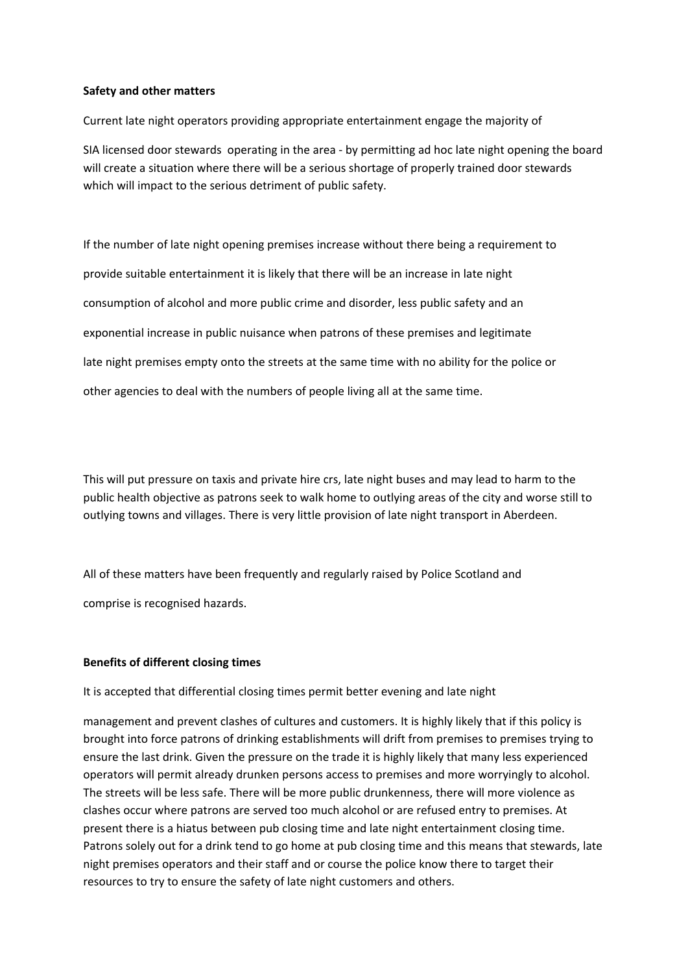#### **Safety and other matters**

Current late night operators providing appropriate entertainment engage the majority of

SIA licensed door stewards operating in the area - by permitting ad hoc late night opening the board will create a situation where there will be a serious shortage of properly trained door stewards which will impact to the serious detriment of public safety.

If the number of late night opening premises increase without there being a requirement to provide suitable entertainment it is likely that there will be an increase in late night consumption of alcohol and more public crime and disorder, less public safety and an exponential increase in public nuisance when patrons of these premises and legitimate late night premises empty onto the streets at the same time with no ability for the police or other agencies to deal with the numbers of people living all at the same time.

This will put pressure on taxis and private hire crs, late night buses and may lead to harm to the public health objective as patrons seek to walk home to outlying areas of the city and worse still to outlying towns and villages. There is very little provision of late night transport in Aberdeen.

All of these matters have been frequently and regularly raised by Police Scotland and comprise is recognised hazards.

### **Benefits of different closing times**

It is accepted that differential closing times permit better evening and late night

management and prevent clashes of cultures and customers. It is highly likely that if this policy is brought into force patrons of drinking establishments will drift from premises to premises trying to ensure the last drink. Given the pressure on the trade it is highly likely that many less experienced operators will permit already drunken persons access to premises and more worryingly to alcohol. The streets will be less safe. There will be more public drunkenness, there will more violence as clashes occur where patrons are served too much alcohol or are refused entry to premises. At present there is a hiatus between pub closing time and late night entertainment closing time. Patrons solely out for a drink tend to go home at pub closing time and this means that stewards, late night premises operators and their staff and or course the police know there to target their resources to try to ensure the safety of late night customers and others.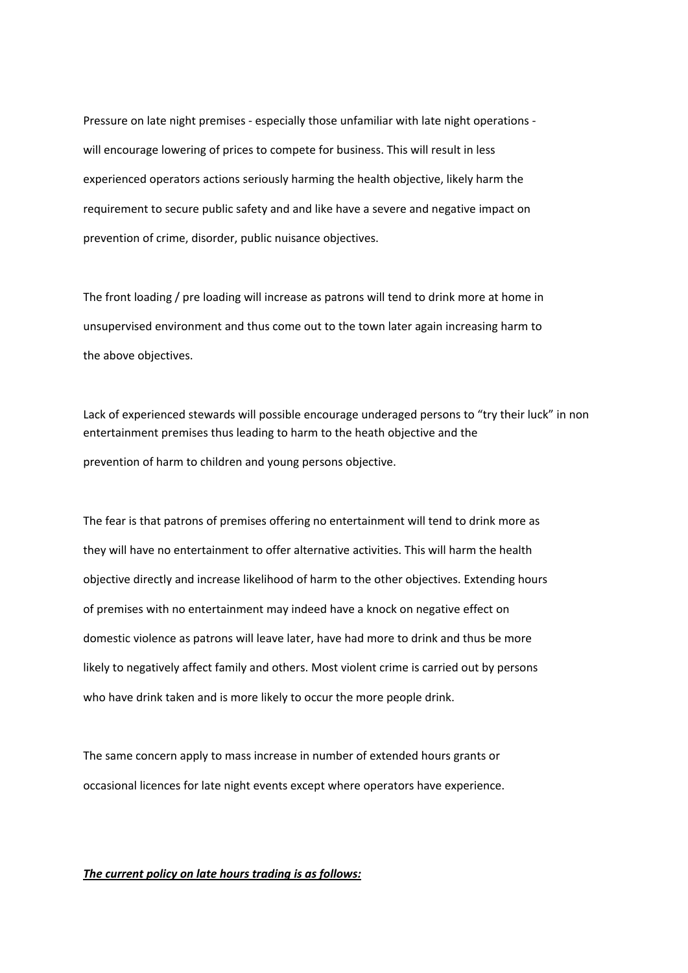Pressure on late night premises - especially those unfamiliar with late night operations will encourage lowering of prices to compete for business. This will result in less experienced operators actions seriously harming the health objective, likely harm the requirement to secure public safety and and like have a severe and negative impact on prevention of crime, disorder, public nuisance objectives.

The front loading / pre loading will increase as patrons will tend to drink more at home in unsupervised environment and thus come out to the town later again increasing harm to the above objectives.

Lack of experienced stewards will possible encourage underaged persons to "try their luck" in non entertainment premises thus leading to harm to the heath objective and the prevention of harm to children and young persons objective.

The fear is that patrons of premises offering no entertainment will tend to drink more as they will have no entertainment to offer alternative activities. This will harm the health objective directly and increase likelihood of harm to the other objectives. Extending hours of premises with no entertainment may indeed have a knock on negative effect on domestic violence as patrons will leave later, have had more to drink and thus be more likely to negatively affect family and others. Most violent crime is carried out by persons who have drink taken and is more likely to occur the more people drink.

The same concern apply to mass increase in number of extended hours grants or occasional licences for late night events except where operators have experience.

### *The current policy on late hours trading is as follows:*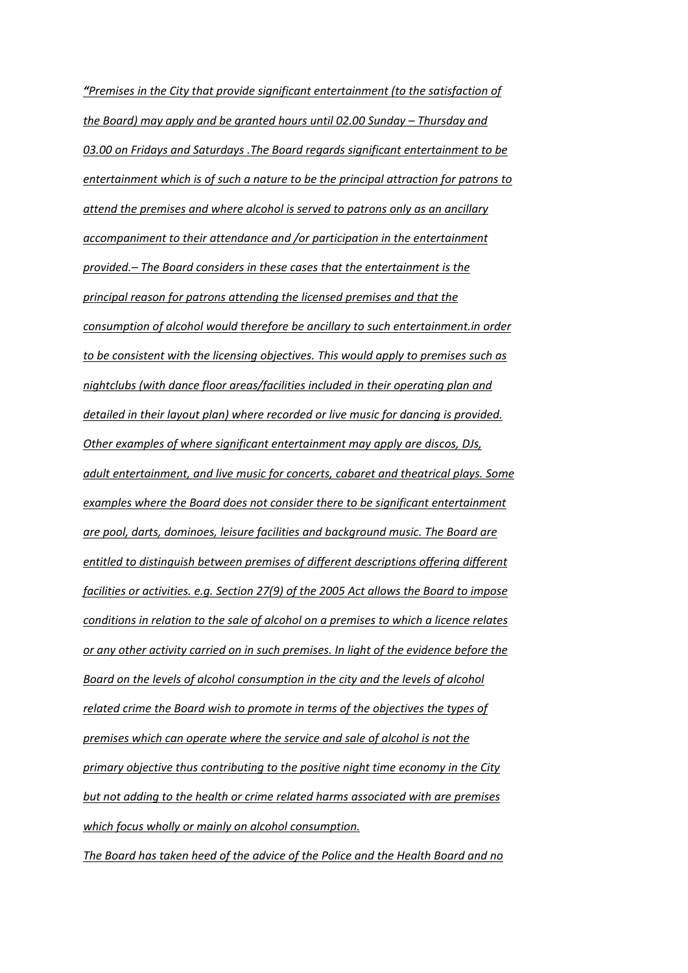*"Premises in the City that provide significant entertainment (to the satisfaction of the Board) may apply and be granted hours until 02.00 Sunday – Thursday and 03.00 on Fridays and Saturdays .The Board regards significant entertainment to be entertainment which is of such a nature to be the principal attraction for patrons to attend the premises and where alcohol is served to patrons only as an ancillary accompaniment to their attendance and /or participation in the entertainment provided.– The Board considers in these cases that the entertainment is the principal reason for patrons attending the licensed premises and that the consumption of alcohol would therefore be ancillary to such entertainment.in order to be consistent with the licensing objectives. This would apply to premises such as nightclubs (with dance floor areas/facilities included in their operating plan and detailed in their layout plan) where recorded or live music for dancing is provided. Other examples of where significant entertainment may apply are discos, DJs, adult entertainment, and live music for concerts, cabaret and theatrical plays. Some examples where the Board does not consider there to be significant entertainment are pool, darts, dominoes, leisure facilities and background music. The Board are entitled to distinguish between premises of different descriptions offering different facilities or activities. e.g. Section 27(9) of the 2005 Act allows the Board to impose conditions in relation to the sale of alcohol on a premises to which a licence relates or any other activity carried on in such premises. In light of the evidence before the Board on the levels of alcohol consumption in the city and the levels of alcohol related crime the Board wish to promote in terms of the objectives the types of premises which can operate where the service and sale of alcohol is not the primary objective thus contributing to the positive night time economy in the City but not adding to the health or crime related harms associated with are premises which focus wholly or mainly on alcohol consumption.*

*The Board has taken heed of the advice of the Police and the Health Board and no*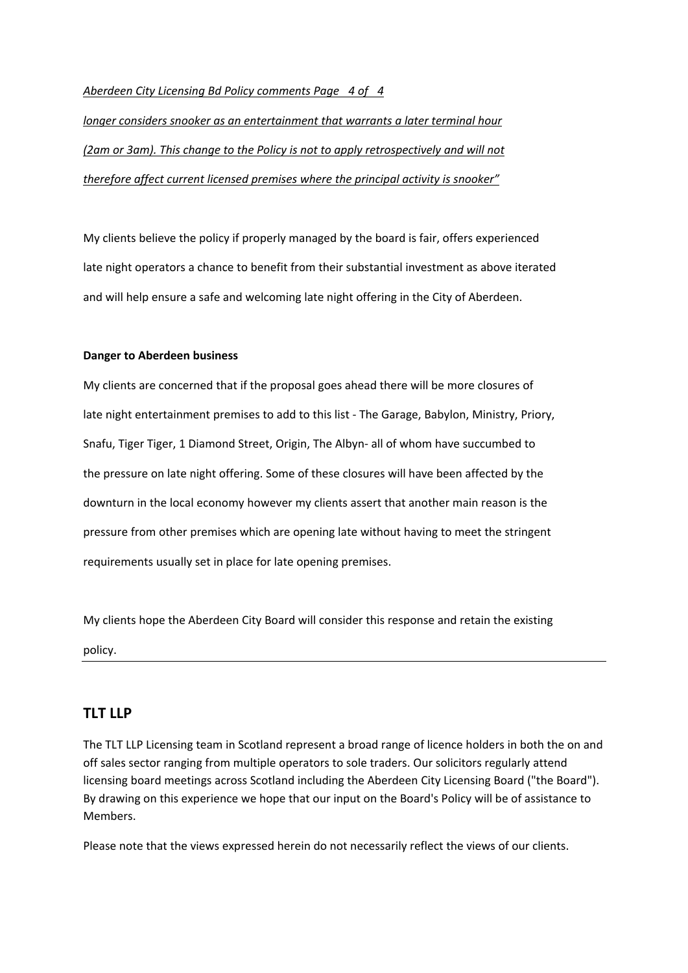### *Aberdeen City Licensing Bd Policy comments Page 4 of 4*

*longer considers snooker as an entertainment that warrants a later terminal hour (2am or 3am). This change to the Policy is not to apply retrospectively and will not therefore affect current licensed premises where the principal activity is snooker"*

My clients believe the policy if properly managed by the board is fair, offers experienced late night operators a chance to benefit from their substantial investment as above iterated and will help ensure a safe and welcoming late night offering in the City of Aberdeen.

### **Danger to Aberdeen business**

My clients are concerned that if the proposal goes ahead there will be more closures of late night entertainment premises to add to this list - The Garage, Babylon, Ministry, Priory, Snafu, Tiger Tiger, 1 Diamond Street, Origin, The Albyn- all of whom have succumbed to the pressure on late night offering. Some of these closures will have been affected by the downturn in the local economy however my clients assert that another main reason is the pressure from other premises which are opening late without having to meet the stringent requirements usually set in place for late opening premises.

My clients hope the Aberdeen City Board will consider this response and retain the existing policy.

## **TLT LLP**

The TLT LLP Licensing team in Scotland represent a broad range of licence holders in both the on and off sales sector ranging from multiple operators to sole traders. Our solicitors regularly attend licensing board meetings across Scotland including the Aberdeen City Licensing Board ("the Board"). By drawing on this experience we hope that our input on the Board's Policy will be of assistance to Members.

Please note that the views expressed herein do not necessarily reflect the views of our clients.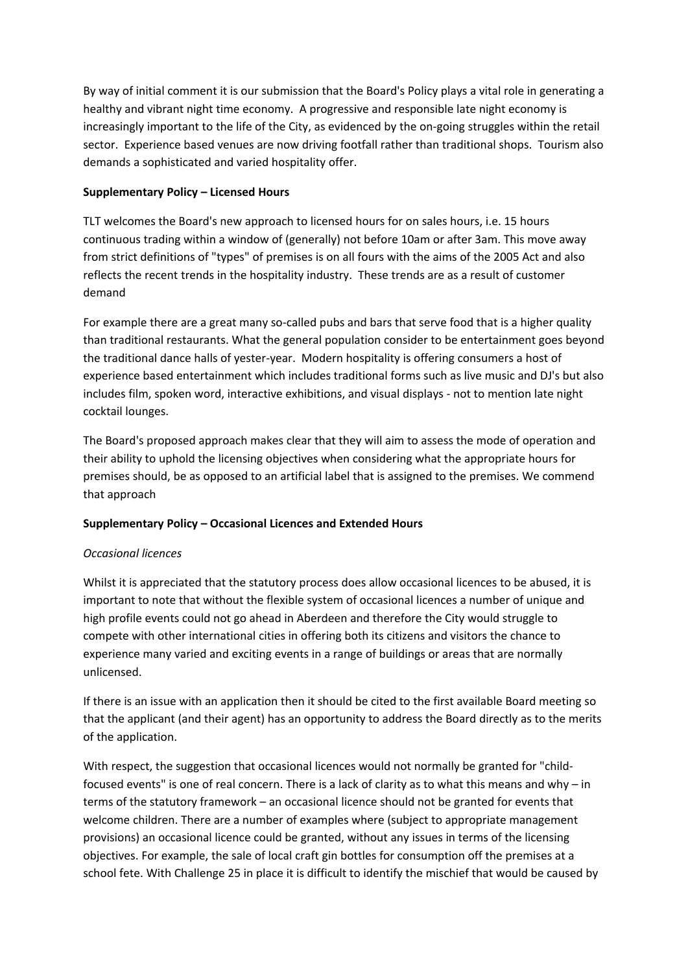By way of initial comment it is our submission that the Board's Policy plays a vital role in generating a healthy and vibrant night time economy. A progressive and responsible late night economy is increasingly important to the life of the City, as evidenced by the on-going struggles within the retail sector. Experience based venues are now driving footfall rather than traditional shops. Tourism also demands a sophisticated and varied hospitality offer.

### **Supplementary Policy – Licensed Hours**

TLT welcomes the Board's new approach to licensed hours for on sales hours, i.e. 15 hours continuous trading within a window of (generally) not before 10am or after 3am. This move away from strict definitions of "types" of premises is on all fours with the aims of the 2005 Act and also reflects the recent trends in the hospitality industry. These trends are as a result of customer demand

For example there are a great many so-called pubs and bars that serve food that is a higher quality than traditional restaurants. What the general population consider to be entertainment goes beyond the traditional dance halls of yester-year. Modern hospitality is offering consumers a host of experience based entertainment which includes traditional forms such as live music and DJ's but also includes film, spoken word, interactive exhibitions, and visual displays - not to mention late night cocktail lounges.

The Board's proposed approach makes clear that they will aim to assess the mode of operation and their ability to uphold the licensing objectives when considering what the appropriate hours for premises should, be as opposed to an artificial label that is assigned to the premises. We commend that approach

## **Supplementary Policy – Occasional Licences and Extended Hours**

### *Occasional licences*

Whilst it is appreciated that the statutory process does allow occasional licences to be abused, it is important to note that without the flexible system of occasional licences a number of unique and high profile events could not go ahead in Aberdeen and therefore the City would struggle to compete with other international cities in offering both its citizens and visitors the chance to experience many varied and exciting events in a range of buildings or areas that are normally unlicensed.

If there is an issue with an application then it should be cited to the first available Board meeting so that the applicant (and their agent) has an opportunity to address the Board directly as to the merits of the application.

With respect, the suggestion that occasional licences would not normally be granted for "childfocused events" is one of real concern. There is a lack of clarity as to what this means and why – in terms of the statutory framework – an occasional licence should not be granted for events that welcome children. There are a number of examples where (subject to appropriate management provisions) an occasional licence could be granted, without any issues in terms of the licensing objectives. For example, the sale of local craft gin bottles for consumption off the premises at a school fete. With Challenge 25 in place it is difficult to identify the mischief that would be caused by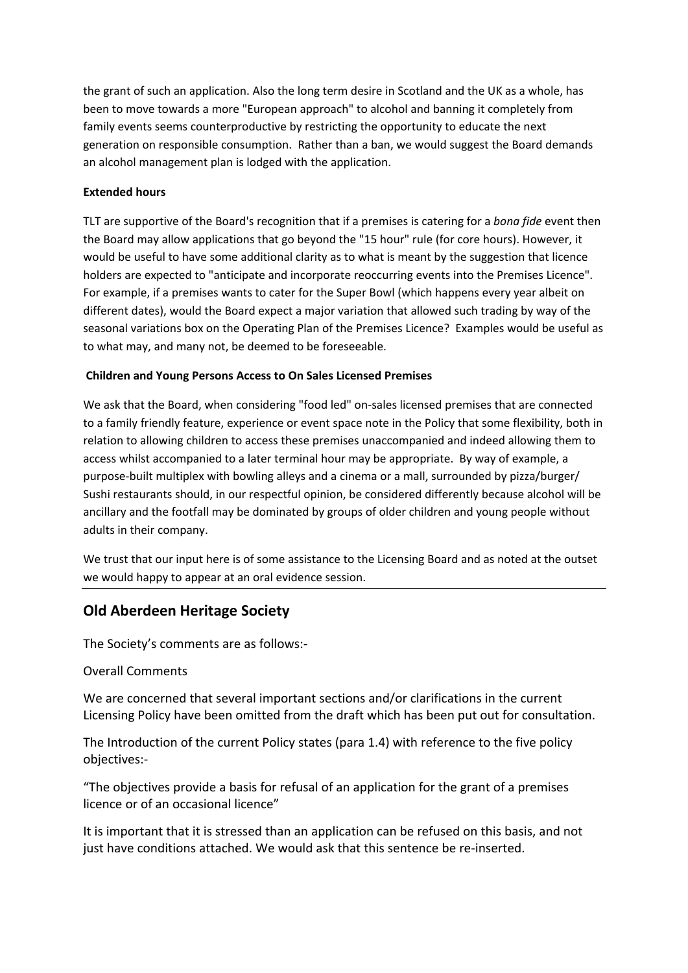the grant of such an application. Also the long term desire in Scotland and the UK as a whole, has been to move towards a more "European approach" to alcohol and banning it completely from family events seems counterproductive by restricting the opportunity to educate the next generation on responsible consumption. Rather than a ban, we would suggest the Board demands an alcohol management plan is lodged with the application.

## **Extended hours**

TLT are supportive of the Board's recognition that if a premises is catering for a *bona fide* event then the Board may allow applications that go beyond the "15 hour" rule (for core hours). However, it would be useful to have some additional clarity as to what is meant by the suggestion that licence holders are expected to "anticipate and incorporate reoccurring events into the Premises Licence". For example, if a premises wants to cater for the Super Bowl (which happens every year albeit on different dates), would the Board expect a major variation that allowed such trading by way of the seasonal variations box on the Operating Plan of the Premises Licence? Examples would be useful as to what may, and many not, be deemed to be foreseeable.

### **Children and Young Persons Access to On Sales Licensed Premises**

We ask that the Board, when considering "food led" on-sales licensed premises that are connected to a family friendly feature, experience or event space note in the Policy that some flexibility, both in relation to allowing children to access these premises unaccompanied and indeed allowing them to access whilst accompanied to a later terminal hour may be appropriate. By way of example, a purpose-built multiplex with bowling alleys and a cinema or a mall, surrounded by pizza/burger/ Sushi restaurants should, in our respectful opinion, be considered differently because alcohol will be ancillary and the footfall may be dominated by groups of older children and young people without adults in their company.

We trust that our input here is of some assistance to the Licensing Board and as noted at the outset we would happy to appear at an oral evidence session.

# **Old Aberdeen Heritage Society**

The Society's comments are as follows:-

## Overall Comments

We are concerned that several important sections and/or clarifications in the current Licensing Policy have been omitted from the draft which has been put out for consultation.

The Introduction of the current Policy states (para 1.4) with reference to the five policy objectives:-

"The objectives provide a basis for refusal of an application for the grant of a premises licence or of an occasional licence"

It is important that it is stressed than an application can be refused on this basis, and not just have conditions attached. We would ask that this sentence be re-inserted.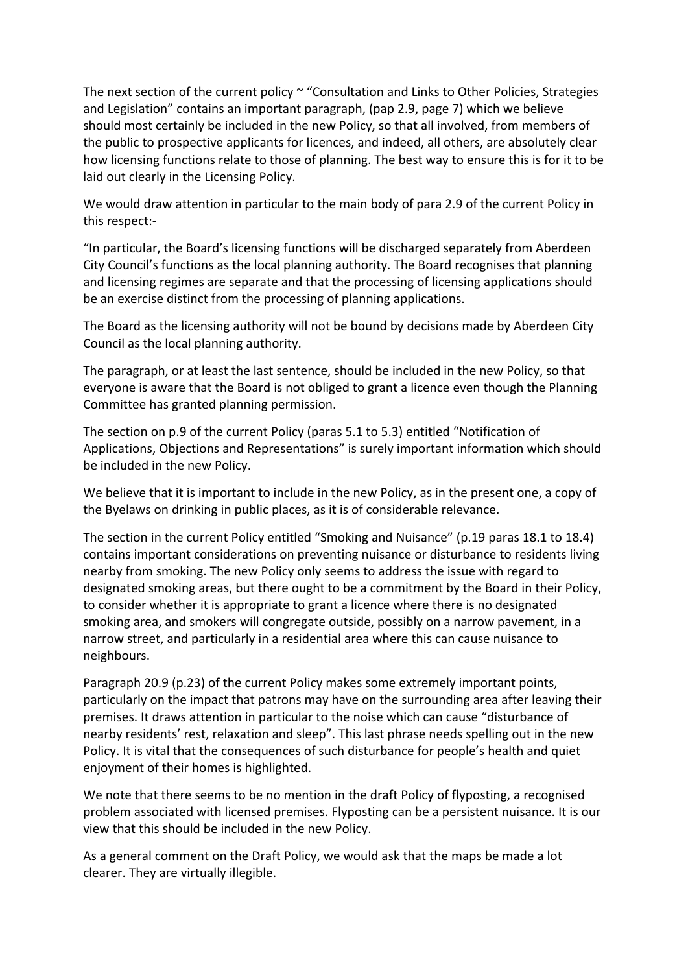The next section of the current policy ~ "Consultation and Links to Other Policies, Strategies and Legislation" contains an important paragraph, (pap 2.9, page 7) which we believe should most certainly be included in the new Policy, so that all involved, from members of the public to prospective applicants for licences, and indeed, all others, are absolutely clear how licensing functions relate to those of planning. The best way to ensure this is for it to be laid out clearly in the Licensing Policy.

We would draw attention in particular to the main body of para 2.9 of the current Policy in this respect:-

"In particular, the Board's licensing functions will be discharged separately from Aberdeen City Council's functions as the local planning authority. The Board recognises that planning and licensing regimes are separate and that the processing of licensing applications should be an exercise distinct from the processing of planning applications.

The Board as the licensing authority will not be bound by decisions made by Aberdeen City Council as the local planning authority.

The paragraph, or at least the last sentence, should be included in the new Policy, so that everyone is aware that the Board is not obliged to grant a licence even though the Planning Committee has granted planning permission.

The section on p.9 of the current Policy (paras 5.1 to 5.3) entitled "Notification of Applications, Objections and Representations" is surely important information which should be included in the new Policy.

We believe that it is important to include in the new Policy, as in the present one, a copy of the Byelaws on drinking in public places, as it is of considerable relevance.

The section in the current Policy entitled "Smoking and Nuisance" (p.19 paras 18.1 to 18.4) contains important considerations on preventing nuisance or disturbance to residents living nearby from smoking. The new Policy only seems to address the issue with regard to designated smoking areas, but there ought to be a commitment by the Board in their Policy, to consider whether it is appropriate to grant a licence where there is no designated smoking area, and smokers will congregate outside, possibly on a narrow pavement, in a narrow street, and particularly in a residential area where this can cause nuisance to neighbours.

Paragraph 20.9 (p.23) of the current Policy makes some extremely important points, particularly on the impact that patrons may have on the surrounding area after leaving their premises. It draws attention in particular to the noise which can cause "disturbance of nearby residents' rest, relaxation and sleep". This last phrase needs spelling out in the new Policy. It is vital that the consequences of such disturbance for people's health and quiet enjoyment of their homes is highlighted.

We note that there seems to be no mention in the draft Policy of flyposting, a recognised problem associated with licensed premises. Flyposting can be a persistent nuisance. It is our view that this should be included in the new Policy.

As a general comment on the Draft Policy, we would ask that the maps be made a lot clearer. They are virtually illegible.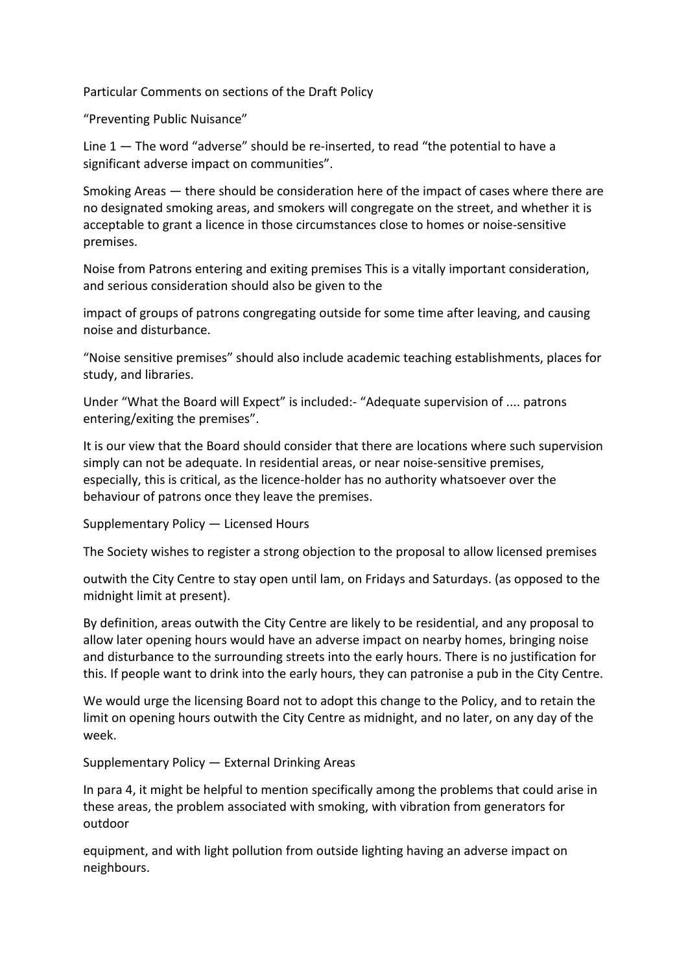Particular Comments on sections of the Draft Policy

"Preventing Public Nuisance"

Line 1 — The word "adverse" should be re-inserted, to read "the potential to have a significant adverse impact on communities".

Smoking Areas — there should be consideration here of the impact of cases where there are no designated smoking areas, and smokers will congregate on the street, and whether it is acceptable to grant a licence in those circumstances close to homes or noise-sensitive premises.

Noise from Patrons entering and exiting premises This is a vitally important consideration, and serious consideration should also be given to the

impact of groups of patrons congregating outside for some time after leaving, and causing noise and disturbance.

"Noise sensitive premises" should also include academic teaching establishments, places for study, and libraries.

Under "What the Board will Expect" is included:- "Adequate supervision of .... patrons entering/exiting the premises".

It is our view that the Board should consider that there are locations where such supervision simply can not be adequate. In residential areas, or near noise-sensitive premises, especially, this is critical, as the licence-holder has no authority whatsoever over the behaviour of patrons once they leave the premises.

Supplementary Policy — Licensed Hours

The Society wishes to register a strong objection to the proposal to allow licensed premises

outwith the City Centre to stay open until lam, on Fridays and Saturdays. (as opposed to the midnight limit at present).

By definition, areas outwith the City Centre are likely to be residential, and any proposal to allow later opening hours would have an adverse impact on nearby homes, bringing noise and disturbance to the surrounding streets into the early hours. There is no justification for this. If people want to drink into the early hours, they can patronise a pub in the City Centre.

We would urge the licensing Board not to adopt this change to the Policy, and to retain the limit on opening hours outwith the City Centre as midnight, and no later, on any day of the week.

Supplementary Policy — External Drinking Areas

In para 4, it might be helpful to mention specifically among the problems that could arise in these areas, the problem associated with smoking, with vibration from generators for outdoor

equipment, and with light pollution from outside lighting having an adverse impact on neighbours.